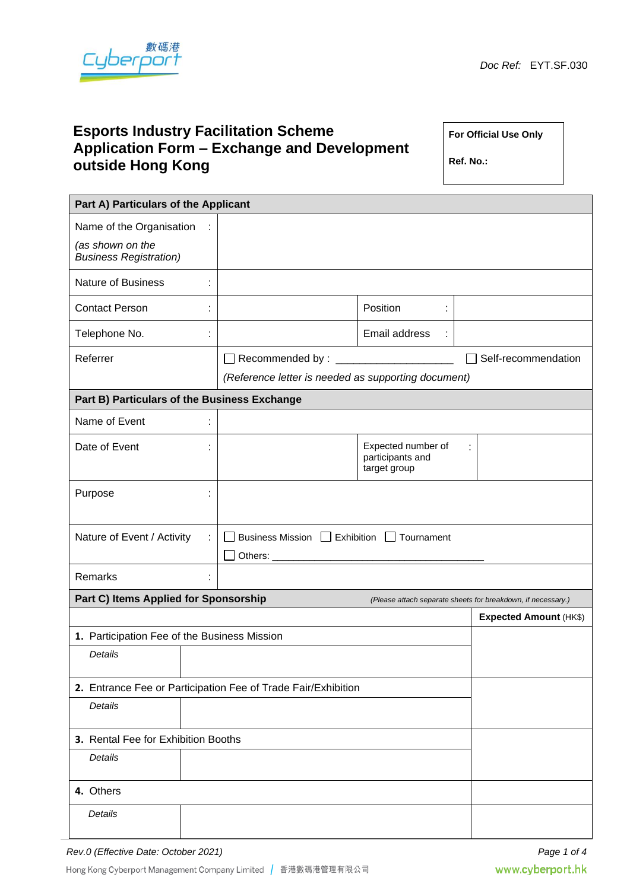

# **Esports Industry Facilitation Scheme Application Form – Exchange and Development outside Hong Kong**

**For Official Use Only**

**Ref. No.:**

| Part A) Particulars of the Applicant                          |   |                                                     |                                                        |                                                              |  |  |  |
|---------------------------------------------------------------|---|-----------------------------------------------------|--------------------------------------------------------|--------------------------------------------------------------|--|--|--|
| Name of the Organisation                                      | ÷ |                                                     |                                                        |                                                              |  |  |  |
| (as shown on the<br><b>Business Registration)</b>             |   |                                                     |                                                        |                                                              |  |  |  |
| <b>Nature of Business</b>                                     | t |                                                     |                                                        |                                                              |  |  |  |
| <b>Contact Person</b>                                         | ÷ |                                                     | Position<br>÷                                          |                                                              |  |  |  |
| Telephone No.                                                 | t |                                                     | Email address                                          |                                                              |  |  |  |
| Referrer                                                      |   |                                                     |                                                        | Self-recommendation                                          |  |  |  |
|                                                               |   | (Reference letter is needed as supporting document) |                                                        |                                                              |  |  |  |
| Part B) Particulars of the Business Exchange                  |   |                                                     |                                                        |                                                              |  |  |  |
| Name of Event                                                 |   |                                                     |                                                        |                                                              |  |  |  |
| Date of Event                                                 |   |                                                     | Expected number of<br>participants and<br>target group | ÷                                                            |  |  |  |
| Purpose                                                       | t |                                                     |                                                        |                                                              |  |  |  |
| Nature of Event / Activity<br>÷                               |   | Business Mission   Exhibition   Tournament          |                                                        |                                                              |  |  |  |
| Remarks                                                       |   |                                                     |                                                        |                                                              |  |  |  |
| Part C) Items Applied for Sponsorship                         |   |                                                     |                                                        | (Please attach separate sheets for breakdown, if necessary.) |  |  |  |
|                                                               |   |                                                     |                                                        | <b>Expected Amount (HK\$)</b>                                |  |  |  |
| 1. Participation Fee of the Business Mission                  |   |                                                     |                                                        |                                                              |  |  |  |
| <b>Details</b>                                                |   |                                                     |                                                        |                                                              |  |  |  |
| 2. Entrance Fee or Participation Fee of Trade Fair/Exhibition |   |                                                     |                                                        |                                                              |  |  |  |
| Details                                                       |   |                                                     |                                                        |                                                              |  |  |  |
| 3. Rental Fee for Exhibition Booths                           |   |                                                     |                                                        |                                                              |  |  |  |
| Details                                                       |   |                                                     |                                                        |                                                              |  |  |  |
| 4. Others                                                     |   |                                                     |                                                        |                                                              |  |  |  |
| Details                                                       |   |                                                     |                                                        |                                                              |  |  |  |

Hong Kong Cyberport Management Company Limited | 香港數碼港管理有限公司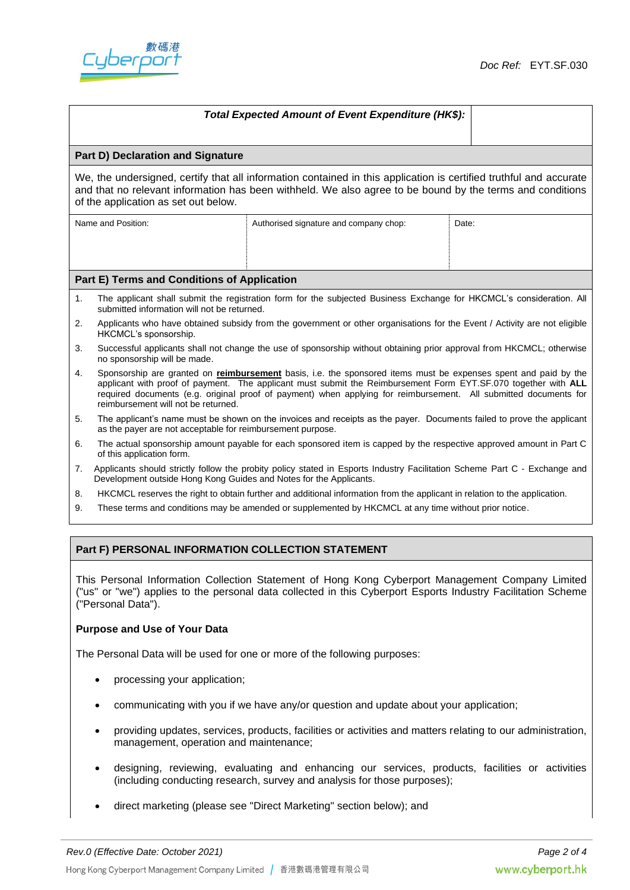



| Total Expected Amount of Event Expenditure (HK\$):                                                                                                                                                                                                                      |                                                                                                                                                                                                                                                                                                                                                                                              |                                        |       |  |  |  |  |
|-------------------------------------------------------------------------------------------------------------------------------------------------------------------------------------------------------------------------------------------------------------------------|----------------------------------------------------------------------------------------------------------------------------------------------------------------------------------------------------------------------------------------------------------------------------------------------------------------------------------------------------------------------------------------------|----------------------------------------|-------|--|--|--|--|
|                                                                                                                                                                                                                                                                         |                                                                                                                                                                                                                                                                                                                                                                                              |                                        |       |  |  |  |  |
| <b>Part D) Declaration and Signature</b>                                                                                                                                                                                                                                |                                                                                                                                                                                                                                                                                                                                                                                              |                                        |       |  |  |  |  |
| We, the undersigned, certify that all information contained in this application is certified truthful and accurate<br>and that no relevant information has been withheld. We also agree to be bound by the terms and conditions<br>of the application as set out below. |                                                                                                                                                                                                                                                                                                                                                                                              |                                        |       |  |  |  |  |
| Name and Position:                                                                                                                                                                                                                                                      |                                                                                                                                                                                                                                                                                                                                                                                              | Authorised signature and company chop: | Date: |  |  |  |  |
|                                                                                                                                                                                                                                                                         |                                                                                                                                                                                                                                                                                                                                                                                              |                                        |       |  |  |  |  |
|                                                                                                                                                                                                                                                                         |                                                                                                                                                                                                                                                                                                                                                                                              |                                        |       |  |  |  |  |
| Part E) Terms and Conditions of Application                                                                                                                                                                                                                             |                                                                                                                                                                                                                                                                                                                                                                                              |                                        |       |  |  |  |  |
| 1.                                                                                                                                                                                                                                                                      | The applicant shall submit the registration form for the subjected Business Exchange for HKCMCL's consideration. All<br>submitted information will not be returned.                                                                                                                                                                                                                          |                                        |       |  |  |  |  |
| 2.                                                                                                                                                                                                                                                                      | Applicants who have obtained subsidy from the government or other organisations for the Event / Activity are not eligible<br>HKCMCL's sponsorship.                                                                                                                                                                                                                                           |                                        |       |  |  |  |  |
| 3.                                                                                                                                                                                                                                                                      | Successful applicants shall not change the use of sponsorship without obtaining prior approval from HKCMCL; otherwise<br>no sponsorship will be made.                                                                                                                                                                                                                                        |                                        |       |  |  |  |  |
| 4.                                                                                                                                                                                                                                                                      | Sponsorship are granted on reimbursement basis, i.e. the sponsored items must be expenses spent and paid by the<br>applicant with proof of payment. The applicant must submit the Reimbursement Form EYT.SF.070 together with ALL<br>required documents (e.g. original proof of payment) when applying for reimbursement. All submitted documents for<br>reimbursement will not be returned. |                                        |       |  |  |  |  |
| 5.                                                                                                                                                                                                                                                                      | The applicant's name must be shown on the invoices and receipts as the payer. Documents failed to prove the applicant<br>as the payer are not acceptable for reimbursement purpose.                                                                                                                                                                                                          |                                        |       |  |  |  |  |
| 6.                                                                                                                                                                                                                                                                      | The actual sponsorship amount payable for each sponsored item is capped by the respective approved amount in Part C<br>of this application form.                                                                                                                                                                                                                                             |                                        |       |  |  |  |  |
| 7.                                                                                                                                                                                                                                                                      | Applicants should strictly follow the probity policy stated in Esports Industry Facilitation Scheme Part C - Exchange and<br>Development outside Hong Kong Guides and Notes for the Applicants.                                                                                                                                                                                              |                                        |       |  |  |  |  |
| 8.                                                                                                                                                                                                                                                                      | HKCMCL reserves the right to obtain further and additional information from the applicant in relation to the application.                                                                                                                                                                                                                                                                    |                                        |       |  |  |  |  |
| 9.                                                                                                                                                                                                                                                                      | These terms and conditions may be amended or supplemented by HKCMCL at any time without prior notice.                                                                                                                                                                                                                                                                                        |                                        |       |  |  |  |  |

## **Part F) PERSONAL INFORMATION COLLECTION STATEMENT**

This Personal Information Collection Statement of Hong Kong Cyberport Management Company Limited ("us" or "we") applies to the personal data collected in this Cyberport Esports Industry Facilitation Scheme ("Personal Data").

#### **Purpose and Use of Your Data**

The Personal Data will be used for one or more of the following purposes:

- processing your application;
- communicating with you if we have any/or question and update about your application;
- providing updates, services, products, facilities or activities and matters relating to our administration, management, operation and maintenance;
- designing, reviewing, evaluating and enhancing our services, products, facilities or activities (including conducting research, survey and analysis for those purposes);
- direct marketing (please see "Direct Marketing" section below); and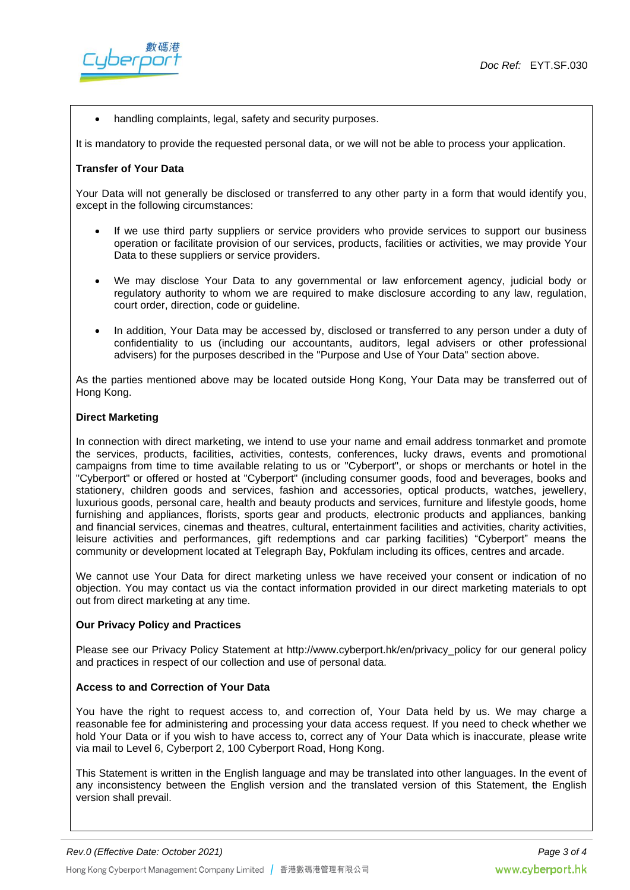

handling complaints, legal, safety and security purposes.

It is mandatory to provide the requested personal data, or we will not be able to process your application.

#### **Transfer of Your Data**

Your Data will not generally be disclosed or transferred to any other party in a form that would identify you, except in the following circumstances:

- If we use third party suppliers or service providers who provide services to support our business operation or facilitate provision of our services, products, facilities or activities, we may provide Your Data to these suppliers or service providers.
- We may disclose Your Data to any governmental or law enforcement agency, judicial body or regulatory authority to whom we are required to make disclosure according to any law, regulation, court order, direction, code or guideline.
- In addition, Your Data may be accessed by, disclosed or transferred to any person under a duty of confidentiality to us (including our accountants, auditors, legal advisers or other professional advisers) for the purposes described in the "Purpose and Use of Your Data" section above.

As the parties mentioned above may be located outside Hong Kong, Your Data may be transferred out of Hong Kong.

#### **Direct Marketing**

In connection with direct marketing, we intend to use your name and email address tonmarket and promote the services, products, facilities, activities, contests, conferences, lucky draws, events and promotional campaigns from time to time available relating to us or "Cyberport", or shops or merchants or hotel in the "Cyberport" or offered or hosted at "Cyberport" (including consumer goods, food and beverages, books and stationery, children goods and services, fashion and accessories, optical products, watches, jewellery, luxurious goods, personal care, health and beauty products and services, furniture and lifestyle goods, home furnishing and appliances, florists, sports gear and products, electronic products and appliances, banking and financial services, cinemas and theatres, cultural, entertainment facilities and activities, charity activities, leisure activities and performances, gift redemptions and car parking facilities) "Cyberport" means the community or development located at Telegraph Bay, Pokfulam including its offices, centres and arcade.

We cannot use Your Data for direct marketing unless we have received your consent or indication of no objection. You may contact us via the contact information provided in our direct marketing materials to opt out from direct marketing at any time.

#### **Our Privacy Policy and Practices**

Please see our Privacy Policy Statement at http://www.cyberport.hk/en/privacy\_policy for our general policy and practices in respect of our collection and use of personal data.

### **Access to and Correction of Your Data**

You have the right to request access to, and correction of, Your Data held by us. We may charge a reasonable fee for administering and processing your data access request. If you need to check whether we hold Your Data or if you wish to have access to, correct any of Your Data which is inaccurate, please write via mail to Level 6, Cyberport 2, 100 Cyberport Road, Hong Kong.

This Statement is written in the English language and may be translated into other languages. In the event of any inconsistency between the English version and the translated version of this Statement, the English version shall prevail.